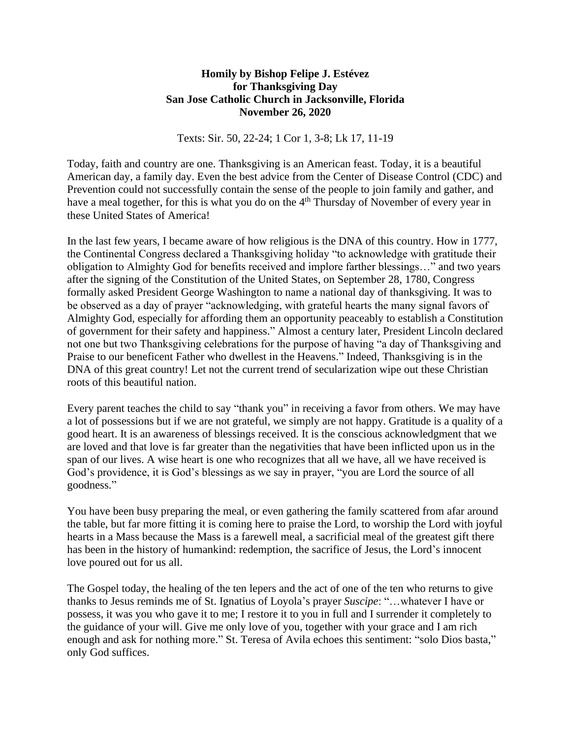## **Homily by Bishop Felipe J. Estévez for Thanksgiving Day San Jose Catholic Church in Jacksonville, Florida November 26, 2020**

Texts: Sir. 50, 22-24; 1 Cor 1, 3-8; Lk 17, 11-19

Today, faith and country are one. Thanksgiving is an American feast. Today, it is a beautiful American day, a family day. Even the best advice from the Center of Disease Control (CDC) and Prevention could not successfully contain the sense of the people to join family and gather, and have a meal together, for this is what you do on the 4<sup>th</sup> Thursday of November of every year in these United States of America!

In the last few years, I became aware of how religious is the DNA of this country. How in 1777, the Continental Congress declared a Thanksgiving holiday "to acknowledge with gratitude their obligation to Almighty God for benefits received and implore farther blessings…" and two years after the signing of the Constitution of the United States, on September 28, 1780, Congress formally asked President George Washington to name a national day of thanksgiving. It was to be observed as a day of prayer "acknowledging, with grateful hearts the many signal favors of Almighty God, especially for affording them an opportunity peaceably to establish a Constitution of government for their safety and happiness." Almost a century later, President Lincoln declared not one but two Thanksgiving celebrations for the purpose of having "a day of Thanksgiving and Praise to our beneficent Father who dwellest in the Heavens." Indeed, Thanksgiving is in the DNA of this great country! Let not the current trend of secularization wipe out these Christian roots of this beautiful nation.

Every parent teaches the child to say "thank you" in receiving a favor from others. We may have a lot of possessions but if we are not grateful, we simply are not happy. Gratitude is a quality of a good heart. It is an awareness of blessings received. It is the conscious acknowledgment that we are loved and that love is far greater than the negativities that have been inflicted upon us in the span of our lives. A wise heart is one who recognizes that all we have, all we have received is God's providence, it is God's blessings as we say in prayer, "you are Lord the source of all goodness."

You have been busy preparing the meal, or even gathering the family scattered from afar around the table, but far more fitting it is coming here to praise the Lord, to worship the Lord with joyful hearts in a Mass because the Mass is a farewell meal, a sacrificial meal of the greatest gift there has been in the history of humankind: redemption, the sacrifice of Jesus, the Lord's innocent love poured out for us all.

The Gospel today, the healing of the ten lepers and the act of one of the ten who returns to give thanks to Jesus reminds me of St. Ignatius of Loyola's prayer *Suscipe*: "…whatever I have or possess, it was you who gave it to me; I restore it to you in full and I surrender it completely to the guidance of your will. Give me only love of you, together with your grace and I am rich enough and ask for nothing more." St. Teresa of Avila echoes this sentiment: "solo Dios basta," only God suffices.